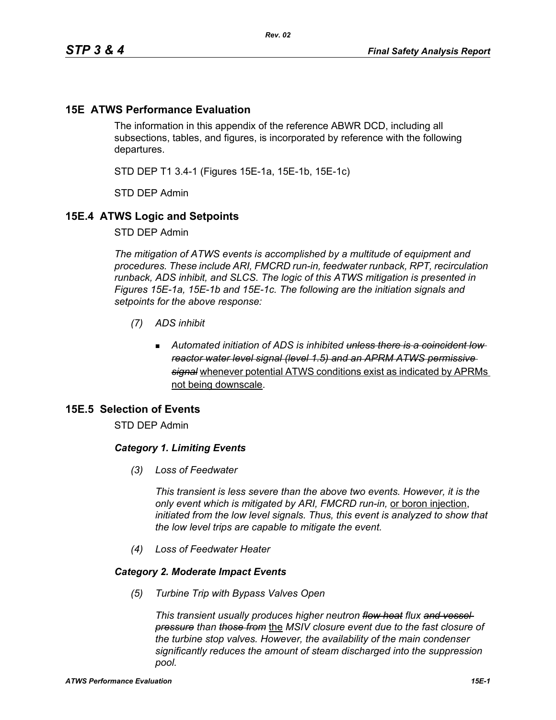# **15E ATWS Performance Evaluation**

The information in this appendix of the reference ABWR DCD, including all subsections, tables, and figures, is incorporated by reference with the following departures.

STD DEP T1 3.4-1 (Figures 15E-1a, 15E-1b, 15E-1c)

STD DEP Admin

### **15E.4 ATWS Logic and Setpoints**

STD DEP Admin

*The mitigation of ATWS events is accomplished by a multitude of equipment and procedures. These include ARI, FMCRD run-in, feedwater runback, RPT, recirculation runback, ADS inhibit, and SLCS. The logic of this ATWS mitigation is presented in Figures 15E-1a, 15E-1b and 15E-1c. The following are the initiation signals and setpoints for the above response:*

- *(7) ADS inhibit*
	- *Automated initiation of ADS is inhibited unless there is a coincident low reactor water level signal (level 1.5) and an APRM ATWS permissive signal* whenever potential ATWS conditions exist as indicated by APRMs not being downscale.

# **15E.5 Selection of Events**

STD DEP Admin

### *Category 1. Limiting Events*

*(3) Loss of Feedwater*

*This transient is less severe than the above two events. However, it is the only event which is mitigated by ARI, FMCRD run-in,* or boron injection, *initiated from the low level signals. Thus, this event is analyzed to show that the low level trips are capable to mitigate the event.*

*(4) Loss of Feedwater Heater*

### *Category 2. Moderate Impact Events*

*(5) Turbine Trip with Bypass Valves Open*

*This transient usually produces higher neutron flow heat flux and vessel pressure than those from* the *MSIV closure event due to the fast closure of the turbine stop valves. However, the availability of the main condenser significantly reduces the amount of steam discharged into the suppression pool.*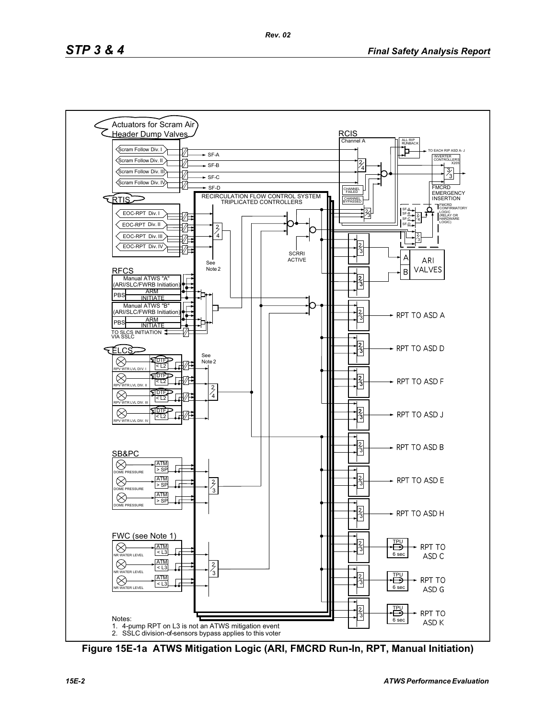

**Figure 15E-1a ATWS Mitigation Logic (ARI, FMCRD Run-In, RPT, Manual Initiation)**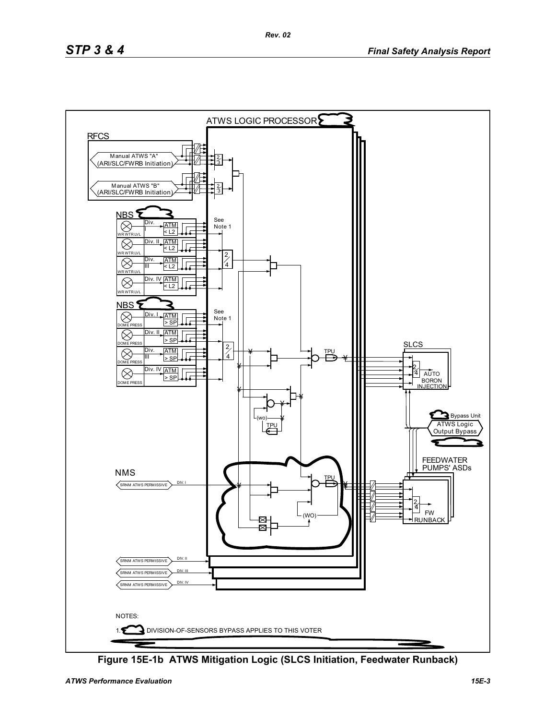

**Figure 15E-1b ATWS Mitigation Logic (SLCS Initiation, Feedwater Runback)**